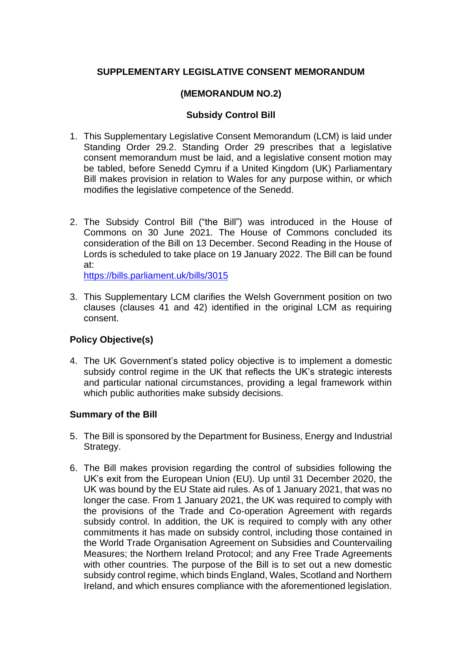# **SUPPLEMENTARY LEGISLATIVE CONSENT MEMORANDUM**

# **(MEMORANDUM NO.2)**

## **Subsidy Control Bill**

- 1. This Supplementary Legislative Consent Memorandum (LCM) is laid under Standing Order 29.2. Standing Order 29 prescribes that a legislative consent memorandum must be laid, and a legislative consent motion may be tabled, before Senedd Cymru if a United Kingdom (UK) Parliamentary Bill makes provision in relation to Wales for any purpose within, or which modifies the legislative competence of the Senedd.
- 2. The Subsidy Control Bill ("the Bill") was introduced in the House of Commons on 30 June 2021*.* The House of Commons concluded its consideration of the Bill on 13 December. Second Reading in the House of Lords is scheduled to take place on 19 January 2022. The Bill can be found at:

<https://bills.parliament.uk/bills/3015>

3. This Supplementary LCM clarifies the Welsh Government position on two clauses (clauses 41 and 42) identified in the original LCM as requiring consent.

## **Policy Objective(s)**

4. The UK Government's stated policy objective is to implement a domestic subsidy control regime in the UK that reflects the UK's strategic interests and particular national circumstances, providing a legal framework within which public authorities make subsidy decisions.

## **Summary of the Bill**

- 5. The Bill is sponsored by the Department for Business, Energy and Industrial Strategy.
- 6. The Bill makes provision regarding the control of subsidies following the UK's exit from the European Union (EU). Up until 31 December 2020, the UK was bound by the EU State aid rules. As of 1 January 2021, that was no longer the case. From 1 January 2021, the UK was required to comply with the provisions of the Trade and Co-operation Agreement with regards subsidy control. In addition, the UK is required to comply with any other commitments it has made on subsidy control, including those contained in the World Trade Organisation Agreement on Subsidies and Countervailing Measures; the Northern Ireland Protocol; and any Free Trade Agreements with other countries. The purpose of the Bill is to set out a new domestic subsidy control regime, which binds England, Wales, Scotland and Northern Ireland, and which ensures compliance with the aforementioned legislation.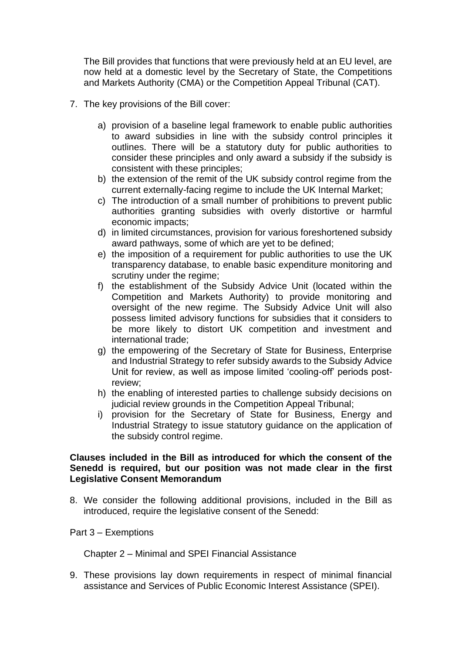The Bill provides that functions that were previously held at an EU level, are now held at a domestic level by the Secretary of State, the Competitions and Markets Authority (CMA) or the Competition Appeal Tribunal (CAT).

- 7. The key provisions of the Bill cover:
	- a) provision of a baseline legal framework to enable public authorities to award subsidies in line with the subsidy control principles it outlines. There will be a statutory duty for public authorities to consider these principles and only award a subsidy if the subsidy is consistent with these principles;
	- b) the extension of the remit of the UK subsidy control regime from the current externally-facing regime to include the UK Internal Market;
	- c) The introduction of a small number of prohibitions to prevent public authorities granting subsidies with overly distortive or harmful economic impacts;
	- d) in limited circumstances, provision for various foreshortened subsidy award pathways, some of which are yet to be defined;
	- e) the imposition of a requirement for public authorities to use the UK transparency database, to enable basic expenditure monitoring and scrutiny under the regime;
	- f) the establishment of the Subsidy Advice Unit (located within the Competition and Markets Authority) to provide monitoring and oversight of the new regime. The Subsidy Advice Unit will also possess limited advisory functions for subsidies that it considers to be more likely to distort UK competition and investment and international trade;
	- g) the empowering of the Secretary of State for Business, Enterprise and Industrial Strategy to refer subsidy awards to the Subsidy Advice Unit for review, as well as impose limited 'cooling-off' periods postreview;
	- h) the enabling of interested parties to challenge subsidy decisions on judicial review grounds in the Competition Appeal Tribunal;
	- i) provision for the Secretary of State for Business, Energy and Industrial Strategy to issue statutory guidance on the application of the subsidy control regime.

#### **Clauses included in the Bill as introduced for which the consent of the Senedd is required, but our position was not made clear in the first Legislative Consent Memorandum**

8. We consider the following additional provisions, included in the Bill as introduced, require the legislative consent of the Senedd:

#### Part 3 – Exemptions

Chapter 2 – Minimal and SPEI Financial Assistance

9. These provisions lay down requirements in respect of minimal financial assistance and Services of Public Economic Interest Assistance (SPEI).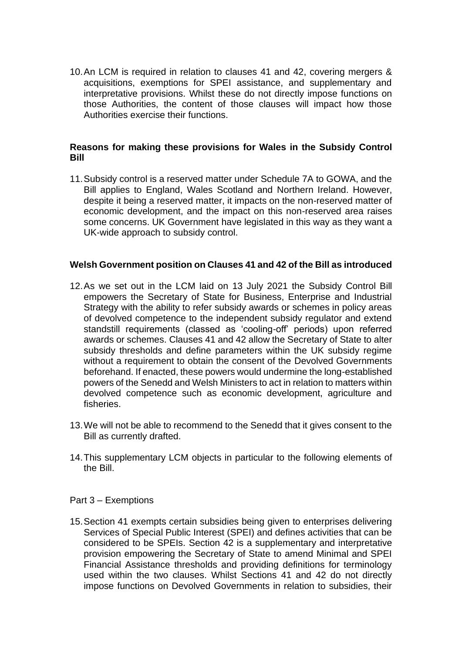10.An LCM is required in relation to clauses 41 and 42, covering mergers & acquisitions, exemptions for SPEI assistance, and supplementary and interpretative provisions. Whilst these do not directly impose functions on those Authorities, the content of those clauses will impact how those Authorities exercise their functions.

## **Reasons for making these provisions for Wales in the Subsidy Control Bill**

11.Subsidy control is a reserved matter under Schedule 7A to GOWA, and the Bill applies to England, Wales Scotland and Northern Ireland. However, despite it being a reserved matter, it impacts on the non-reserved matter of economic development, and the impact on this non-reserved area raises some concerns. UK Government have legislated in this way as they want a UK-wide approach to subsidy control.

#### **Welsh Government position on Clauses 41 and 42 of the Bill as introduced**

- 12.As we set out in the LCM laid on 13 July 2021 the Subsidy Control Bill empowers the Secretary of State for Business, Enterprise and Industrial Strategy with the ability to refer subsidy awards or schemes in policy areas of devolved competence to the independent subsidy regulator and extend standstill requirements (classed as 'cooling-off' periods) upon referred awards or schemes. Clauses 41 and 42 allow the Secretary of State to alter subsidy thresholds and define parameters within the UK subsidy regime without a requirement to obtain the consent of the Devolved Governments beforehand. If enacted, these powers would undermine the long-established powers of the Senedd and Welsh Ministers to act in relation to matters within devolved competence such as economic development, agriculture and fisheries.
- 13.We will not be able to recommend to the Senedd that it gives consent to the Bill as currently drafted.
- 14.This supplementary LCM objects in particular to the following elements of the Bill.

#### Part 3 – Exemptions

15.Section 41 exempts certain subsidies being given to enterprises delivering Services of Special Public Interest (SPEI) and defines activities that can be considered to be SPEIs. Section 42 is a supplementary and interpretative provision empowering the Secretary of State to amend Minimal and SPEI Financial Assistance thresholds and providing definitions for terminology used within the two clauses. Whilst Sections 41 and 42 do not directly impose functions on Devolved Governments in relation to subsidies, their